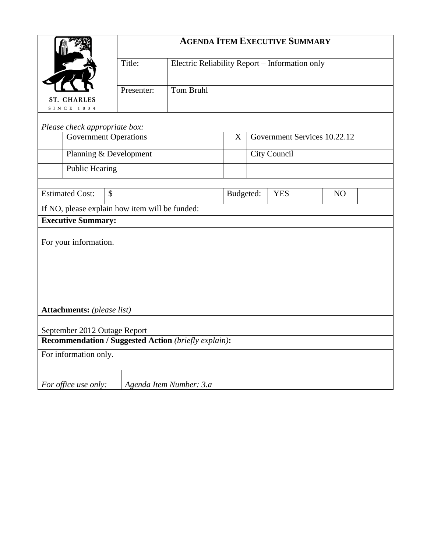|                                                                    | <b>AGENDA ITEM EXECUTIVE SUMMARY</b> |                                                |           |                  |  |  |  |  |  |
|--------------------------------------------------------------------|--------------------------------------|------------------------------------------------|-----------|------------------|--|--|--|--|--|
|                                                                    | Title:                               | Electric Reliability Report - Information only |           |                  |  |  |  |  |  |
|                                                                    |                                      |                                                |           |                  |  |  |  |  |  |
| <b>ST. CHARLES</b><br>SINCE 1834                                   |                                      |                                                |           |                  |  |  |  |  |  |
|                                                                    |                                      |                                                |           |                  |  |  |  |  |  |
| Please check appropriate box:<br>Government Services 10.22.12<br>X |                                      |                                                |           |                  |  |  |  |  |  |
|                                                                    | <b>Government Operations</b>         |                                                |           |                  |  |  |  |  |  |
| Planning & Development                                             |                                      | City Council                                   |           |                  |  |  |  |  |  |
| Public Hearing                                                     |                                      |                                                |           |                  |  |  |  |  |  |
|                                                                    |                                      |                                                |           |                  |  |  |  |  |  |
| <b>Estimated Cost:</b><br>$\mathcal{S}$                            |                                      |                                                | Budgeted: | <b>YES</b><br>NO |  |  |  |  |  |
| If NO, please explain how item will be funded:                     |                                      |                                                |           |                  |  |  |  |  |  |
| <b>Executive Summary:</b>                                          |                                      |                                                |           |                  |  |  |  |  |  |
| For your information.                                              |                                      |                                                |           |                  |  |  |  |  |  |
| Attachments: (please list)                                         |                                      |                                                |           |                  |  |  |  |  |  |
| September 2012 Outage Report                                       |                                      |                                                |           |                  |  |  |  |  |  |
| Recommendation / Suggested Action (briefly explain):               |                                      |                                                |           |                  |  |  |  |  |  |
| For information only.                                              |                                      |                                                |           |                  |  |  |  |  |  |
| For office use only:                                               |                                      | Agenda Item Number: 3.a                        |           |                  |  |  |  |  |  |